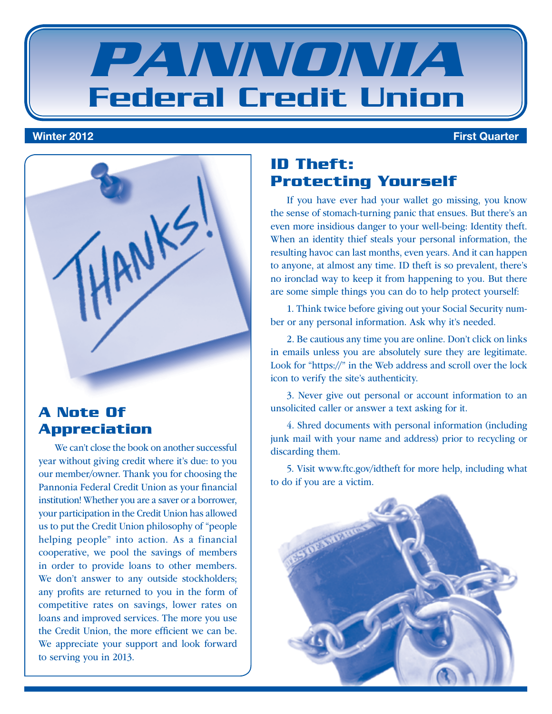



#### **A Note Of Appreciation**

We can't close the book on another successful year without giving credit where it's due: to you our member/owner. Thank you for choosing the Pannonia Federal Credit Union as your financial institution! Whether you are a saver or a borrower, your participation in the Credit Union has allowed us to put the Credit Union philosophy of "people helping people" into action. As a financial cooperative, we pool the savings of members in order to provide loans to other members. We don't answer to any outside stockholders; any profits are returned to you in the form of competitive rates on savings, lower rates on loans and improved services. The more you use the Credit Union, the more efficient we can be. We appreciate your support and look forward to serving you in 2013.

### **ID Theft: Protecting Yourself**

If you have ever had your wallet go missing, you know the sense of stomach-turning panic that ensues. But there's an even more insidious danger to your well-being: Identity theft. When an identity thief steals your personal information, the resulting havoc can last months, even years. And it can happen to anyone, at almost any time. ID theft is so prevalent, there's no ironclad way to keep it from happening to you. But there are some simple things you can do to help protect yourself:

1. Think twice before giving out your Social Security number or any personal information. Ask why it's needed.

2. Be cautious any time you are online. Don't click on links in emails unless you are absolutely sure they are legitimate. Look for "https://" in the Web address and scroll over the lock icon to verify the site's authenticity.

3. Never give out personal or account information to an unsolicited caller or answer a text asking for it.

4. Shred documents with personal information (including junk mail with your name and address) prior to recycling or discarding them.

5. Visit www.ftc.gov/idtheft for more help, including what to do if you are a victim.

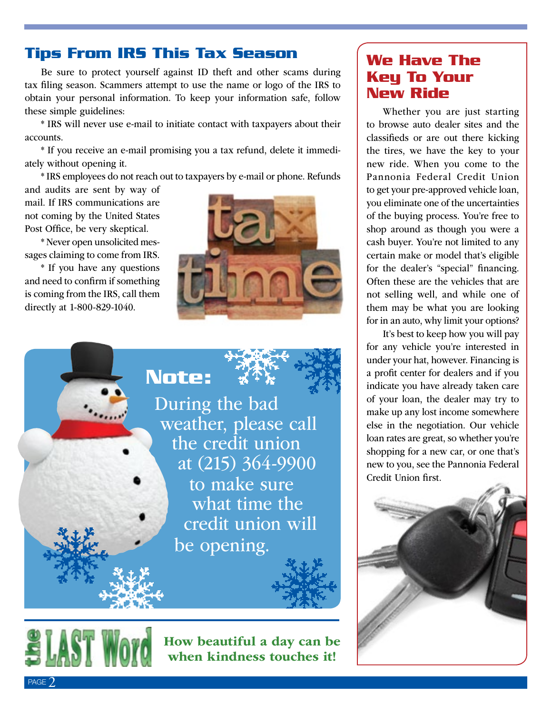#### **Tips From IRS This Tax Season**

Be sure to protect yourself against ID theft and other scams during tax filing season. Scammers attempt to use the name or logo of the IRS to obtain your personal information. To keep your information safe, follow these simple guidelines:

\* IRS will never use e-mail to initiate contact with taxpayers about their accounts.

\* If you receive an e-mail promising you a tax refund, delete it immediately without opening it.

\* IRS employees do not reach out to taxpayers by e-mail or phone. Refunds

 **Note:**

and audits are sent by way of mail. If IRS communications are not coming by the United States Post Office, be very skeptical.

\* Never open unsolicited messages claiming to come from IRS.

\* If you have any questions and need to confirm if something is coming from the IRS, call them directly at 1-800-829-1040.



During the bad<br>weather, please call<br>the credit union at (215) 364-9900 to make sure what time the credit union will be opening.

#### **We Have The Key To Your New Ride**

Whether you are just starting to browse auto dealer sites and the classifieds or are out there kicking the tires, we have the key to your new ride. When you come to the Pannonia Federal Credit Union to get your pre-approved vehicle loan, you eliminate one of the uncertainties of the buying process. You're free to shop around as though you were a cash buyer. You're not limited to any certain make or model that's eligible for the dealer's "special" financing. Often these are the vehicles that are not selling well, and while one of them may be what you are looking for in an auto, why limit your options?

It's best to keep how you will pay for any vehicle you're interested in under your hat, however. Financing is a profit center for dealers and if you indicate you have already taken care of your loan, the dealer may try to make up any lost income somewhere else in the negotiation. Our vehicle loan rates are great, so whether you're shopping for a new car, or one that's new to you, see the Pannonia Federal Credit Union first.





How beautiful a day can be when kindness touches it!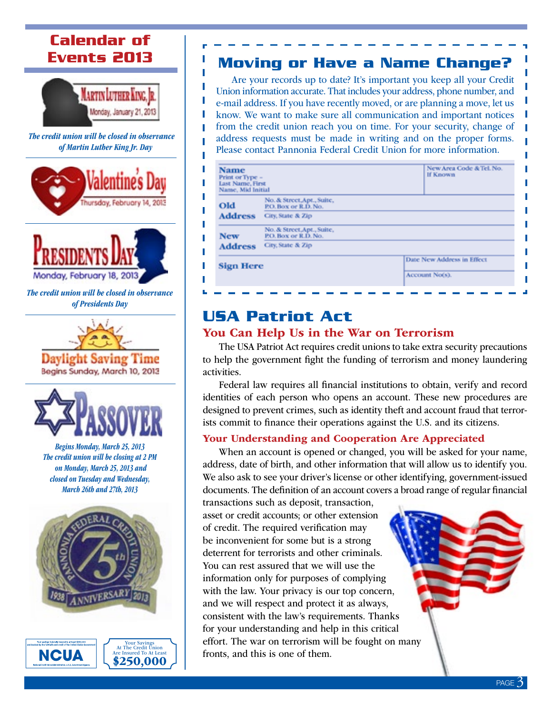## **Calendar of Events 2013**



Π

I

I Ī Ï Ï

*The credit union will be closed in observance of Martin Luther King Jr. Day*





*The credit union will be closed in observance of Presidents Day*





*Begins Monday, March 25, 2013 The credit union will be closing at 2 PM on Monday, March 25, 2013 and closed on Tuesday and Wednesday, March 26th and 27th, 2013*



NCUA

Your Savings At The Credit Union Are Insured To At Least \$250,000

### **Moving or Have a Name Change?**

Are your records up to date? It's important you keep all your Credit Union information accurate. That includes your address, phone number, and e-mail address. If you have recently moved, or are planning a move, let us know. We want to make sure all communication and important notices from the credit union reach you on time. For your security, change of address requests must be made in writing and on the proper forms. Please contact Pannonia Federal Credit Union for more information.

|                                                    | New Area Code & Tel. No.<br>If Known                                         |
|----------------------------------------------------|------------------------------------------------------------------------------|
| No. & Street, Apt., Suite,<br>P.O. Box or R.D. No. |                                                                              |
| City, State & Zip                                  |                                                                              |
| No. & Street, Apt., Suite,<br>P.O. Box or R.D. No. |                                                                              |
| City, State & Zip                                  |                                                                              |
|                                                    | Date New Address in Effect<br>Account No(s).                                 |
|                                                    | Print or Type -<br>Last Name, First<br>Name, Mid Initial<br><b>Sign Here</b> |

## **USA Patriot Act**

#### You Can Help Us in the War on Terrorism

The USA Patriot Act requires credit unions to take extra security precautions to help the government fight the funding of terrorism and money laundering activities.

Federal law requires all financial institutions to obtain, verify and record identities of each person who opens an account. These new procedures are designed to prevent crimes, such as identity theft and account fraud that terrorists commit to finance their operations against the U.S. and its citizens.

#### Your Understanding and Cooperation Are Appreciated

When an account is opened or changed, you will be asked for your name, address, date of birth, and other information that will allow us to identify you. We also ask to see your driver's license or other identifying, government-issued documents. The definition of an account covers a broad range of regular financial

transactions such as deposit, transaction, asset or credit accounts; or other extension of credit. The required verification may be inconvenient for some but is a strong deterrent for terrorists and other criminals. You can rest assured that we will use the information only for purposes of complying with the law. Your privacy is our top concern, and we will respect and protect it as always, consistent with the law's requirements. Thanks for your understanding and help in this critical effort. The war on terrorism will be fought on many fronts, and this is one of them.